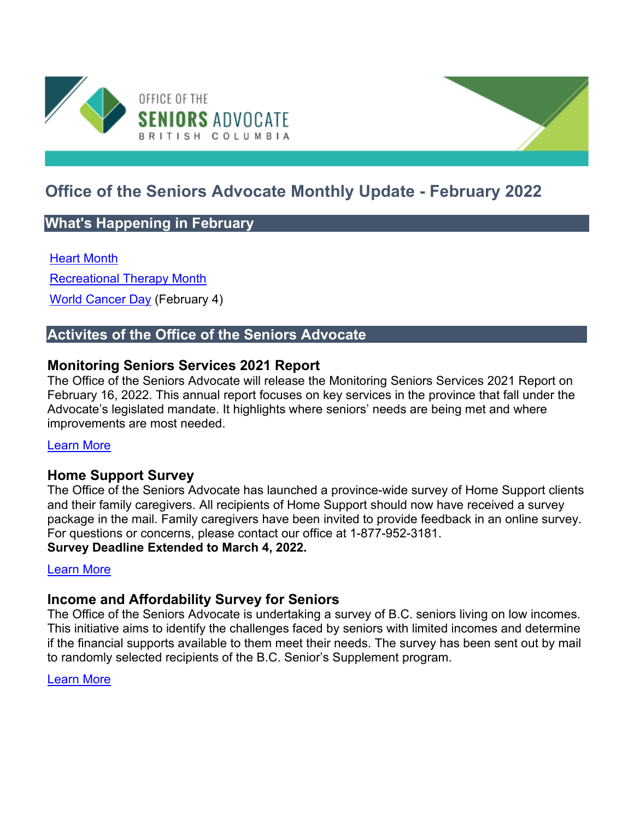

# **Office of the Seniors Advocate Monthly Update - February 2022**

# **What's Happening in February**

#### [Heart Month](https://www.heartandstroke.ca/)

[Recreational Therapy Month](https://canadian-tr.org/)

[World Cancer Day](https://www.worldcancerday.org/) (February 4)

# **Activites of the Office of the Seniors Advocate**

## **Monitoring Seniors Services 2021 Report**

The Office of the Seniors Advocate will release the Monitoring Seniors Services 2021 Report on February 16, 2022. This annual report focuses on key services in the province that fall under the Advocate's legislated mandate. It highlights where seniors' needs are being met and where improvements are most needed.

#### [Learn More](https://www.seniorsadvocatebc.ca/monitoring-seniors-services/)

## **Home Support Survey**

The Office of the Seniors Advocate has launched a province-wide survey of Home Support clients and their family caregivers. All recipients of Home Support should now have received a survey package in the mail. Family caregivers have been invited to provide feedback in an online survey. For questions or concerns, please contact our office at 1-877-952-3181. **Survey Deadline Extended to March 4, 2022.**

#### [Learn More](https://www.seniorsadvocatebc.ca/current-issues/home-support-survey-2022/)

## **Income and Affordability Survey for Seniors**

The Office of the Seniors Advocate is undertaking a survey of B.C. seniors living on low incomes. This initiative aims to identify the challenges faced by seniors with limited incomes and determine if the financial supports available to them meet their needs. The survey has been sent out by mail to randomly selected recipients of the B.C. Senior's Supplement program.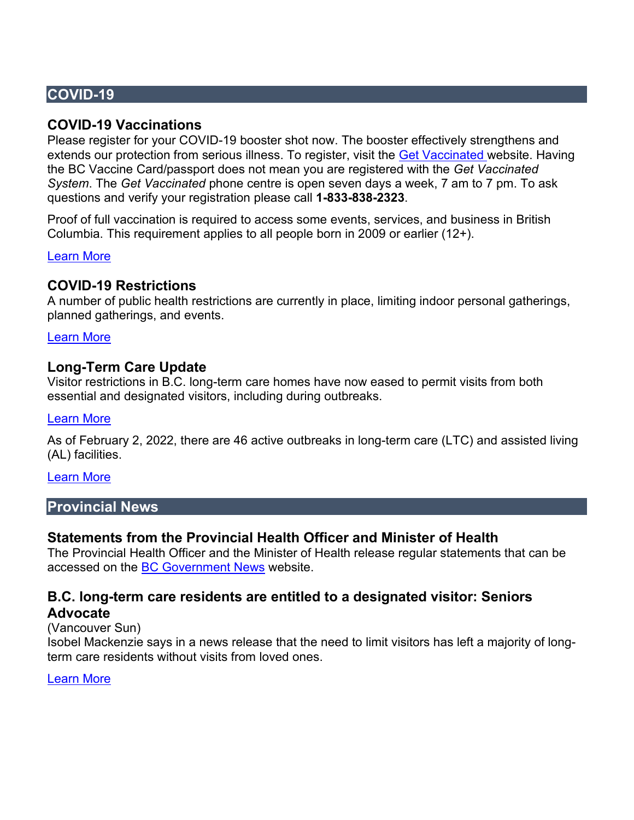# **COVID-19**

## **COVID-19 Vaccinations**

Please register for your COVID-19 booster shot now. The booster effectively strengthens and extends our protection from serious illness. To register, visit the [Get Vaccinated w](https://www2.gov.bc.ca/gov/content/covid-19/vaccine/register)ebsite. Having the BC Vaccine Card/passport does not mean you are registered with the *Get Vaccinated System*. The *Get Vaccinated* phone centre is open seven days a week, 7 am to 7 pm. To ask questions and verify your registration please call **1-833-838-2323**.

Proof of full vaccination is required to access some events, services, and business in British Columbia. This requirement applies to all people born in 2009 or earlier (12+).

#### [Learn More](https://www2.gov.bc.ca/gov/content/covid-19/vaccine/proof)

## **COVID-19 Restrictions**

A number of public health restrictions are currently in place, limiting indoor personal gatherings, planned gatherings, and events.

[Learn More](https://www2.gov.bc.ca/gov/content/covid-19/info/restrictions) 

## **Long-Term Care Update**

Visitor restrictions in B.C. long-term care homes have now eased to permit visits from both essential and designated visitors, including during outbreaks.

#### [Learn More](http://www.bccdc.ca/Health-Info-Site/Documents/Visitors_Long-Term_Care_Seniors_Assisted_Living.pdf)

As of February 2, 2022, there are 46 active outbreaks in long-term care (LTC) and assisted living (AL) facilities.

#### [Learn More](https://www.seniorsadvocatebc.ca/covid-19/covid-19-statistics/)

## **Provincial News**

## **Statements from the Provincial Health Officer and Minister of Health**

The Provincial Health Officer and the Minister of Health release regular statements that can be accessed on the [BC Government News](https://news.gov.bc.ca/) website.

# **B.C. long-term care residents are entitled to a designated visitor: Seniors**

## **Advocate**

(Vancouver Sun)

Isobel Mackenzie says in a news release that the need to limit visitors has left a majority of longterm care residents without visits from loved ones.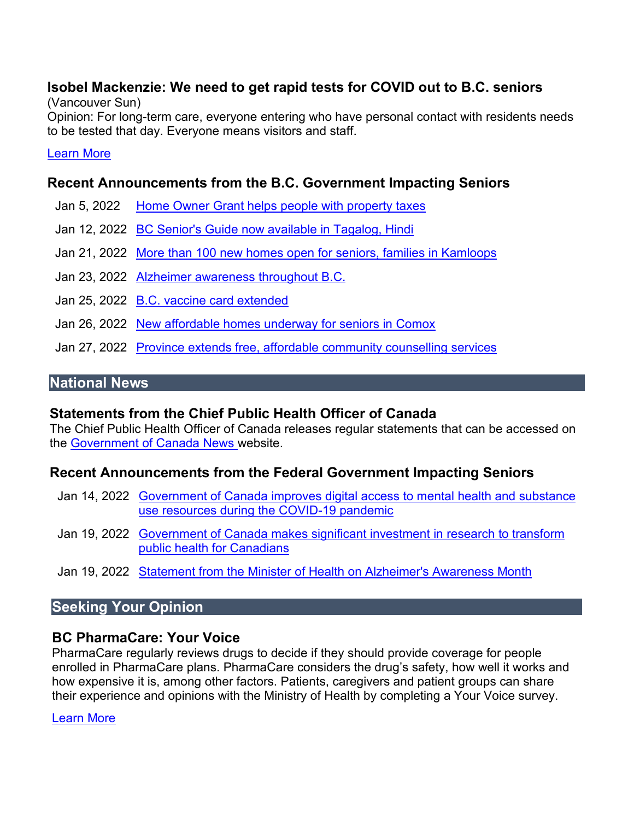# **Isobel Mackenzie: We need to get rapid tests for COVID out to B.C. seniors**

(Vancouver Sun)

Opinion: For long-term care, everyone entering who have personal contact with residents needs to be tested that day. Everyone means visitors and staff.

#### [Learn More](https://vancouversun.com/opinion/isobel-mackenzie-we-need-to-get-rapid-tests-for-covid-out-to-b-c-seniors)

## **Recent Announcements from the B.C. Government Impacting Seniors**

- Jan 5, 2022 [Home Owner Grant helps people with property taxes](https://news.gov.bc.ca/releases/2022FIN0001-000004)
- Jan 12, 2022 [BC Senior's Guide now available in Tagalog, Hindi](https://news.gov.bc.ca/releases/2022HLTH0010-000036)
- Jan 21, 2022 [More than 100 new homes open for seniors, families in Kamloops](https://news.gov.bc.ca/releases/2022AG0006-000087)
- Jan 23, 2022 [Alzheimer awareness throughout B.C.](https://news.gov.bc.ca/releases/2015HLTH0003-000073)
- Jan 25, 2022 [B.C. vaccine card extended](https://news.gov.bc.ca/releases/2022HLTH0028-000112)
- Jan 26, 2022 New affordable homes underway for seniors in Comox
- Jan 27, 2022 [Province extends free, affordable community counselling services](https://news.gov.bc.ca/releases/2022MMHA0006-000115)

## **National News**

## **Statements from the Chief Public Health Officer of Canada**

The Chief Public Health Officer of Canada releases regular statements that can be accessed on the [Government of Canada News w](https://www.canada.ca/en/news.html)ebsite.

## **Recent Announcements from the Federal Government Impacting Seniors**

- Jan 14, 2022 [Government of Canada improves digital access to mental health and substance](https://www.canada.ca/en/health-canada/news/2022/01/government-of-canada-improves-digital-access-to-mental-health-and-substance-use-resources-during-the-covid-19-pandemic.html)  [use resources during the COVID-19 pandemic](https://www.canada.ca/en/health-canada/news/2022/01/government-of-canada-improves-digital-access-to-mental-health-and-substance-use-resources-during-the-covid-19-pandemic.html)
- Jan 19, 2022 [Government of Canada makes significant investment in research to transform](https://www.canada.ca/en/institutes-health-research/news/2022/01/government-of-canada-makes-significant-investment-in-research-to-transform-public-health-for-canadians.html)  [public health for Canadians](https://www.canada.ca/en/institutes-health-research/news/2022/01/government-of-canada-makes-significant-investment-in-research-to-transform-public-health-for-canadians.html)
- Jan 19, 2022 [Statement from the Minister of Health on Alzheimer's Awareness Month](https://www.canada.ca/en/public-health/news/2022/01/statement-from-the-minister-of-health-on-alzheimers-awareness-month.html)

# **Seeking Your Opinion**

## **BC PharmaCare: Your Voice**

PharmaCare regularly reviews drugs to decide if they should provide coverage for people enrolled in PharmaCare plans. PharmaCare considers the drug's safety, how well it works and how expensive it is, among other factors. Patients, caregivers and patient groups can share their experience and opinions with the Ministry of Health by completing a Your Voice survey.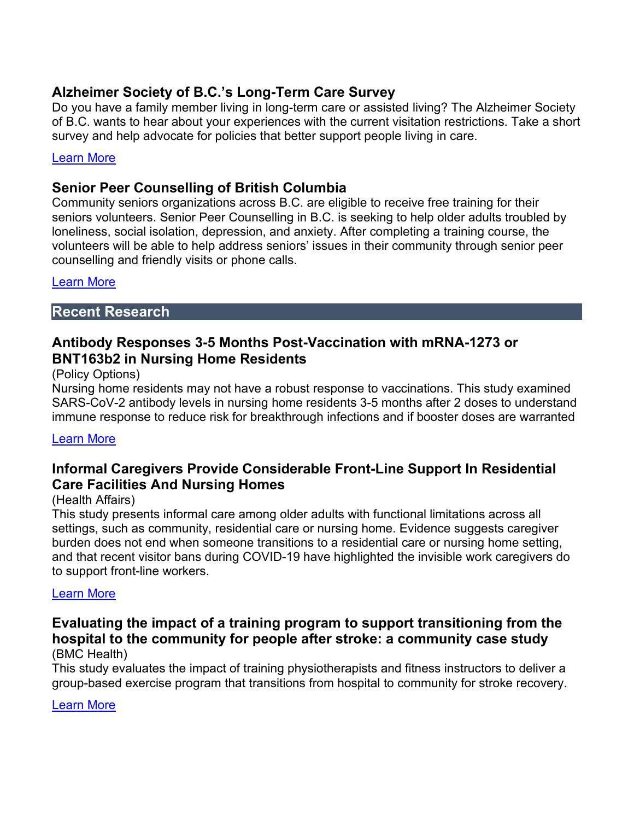# **Alzheimer Society of B.C.'s Long-Term Care Survey**

Do you have a family member living in long-term care or assisted living? The Alzheimer Society of B.C. wants to hear about your experiences with the current visitation restrictions. Take a short survey and help advocate for policies that better support people living in care.

#### [Learn More](https://www.surveymonkey.com/r/VisitationRestrictions)

## **Senior Peer Counselling of British Columbia**

Community seniors organizations across B.C. are eligible to receive free training for their seniors volunteers. Senior Peer Counselling in B.C. is seeking to help older adults troubled by loneliness, social isolation, depression, and anxiety. After completing a training course, the volunteers will be able to help address seniors' issues in their community through senior peer counselling and friendly visits or phone calls.

#### [Learn More](https://spcbc.ca/to-volunteer-as-a-peer-counsellor/)

#### **Recent Research**

## **Antibody Responses 3-5 Months Post-Vaccination with mRNA-1273 or BNT163b2 in Nursing Home Residents**

#### (Policy Options)

Nursing home residents may not have a robust response to vaccinations. This study examined SARS-CoV-2 antibody levels in nursing home residents 3-5 months after 2 doses to understand immune response to reduce risk for breakthrough infections and if booster doses are warranted

#### [Learn More](https://www.ncbi.nlm.nih.gov/pmc/articles/PMC8558841/)

## **Informal Caregivers Provide Considerable Front-Line Support In Residential Care Facilities And Nursing Homes**

#### (Health Affairs)

This study presents informal care among older adults with functional limitations across all settings, such as community, residential care or nursing home. Evidence suggests caregiver burden does not end when someone transitions to a residential care or nursing home setting, and that recent visitor bans during COVID-19 have highlighted the invisible work caregivers do to support front-line workers.

#### [Learn More](https://www.healthaffairs.org/doi/10.1377/hlthaff.2021.01239?url_ver=Z39.88-2003&rfr_id=ori:rid:crossref.org&rfr_dat=cr_pub%20%200pubmed)

#### **Evaluating the impact of a training program to support transitioning from the hospital to the community for people after stroke: a community case study** (BMC Health)

This study evaluates the impact of training physiotherapists and fitness instructors to deliver a group-based exercise program that transitions from hospital to community for stroke recovery.